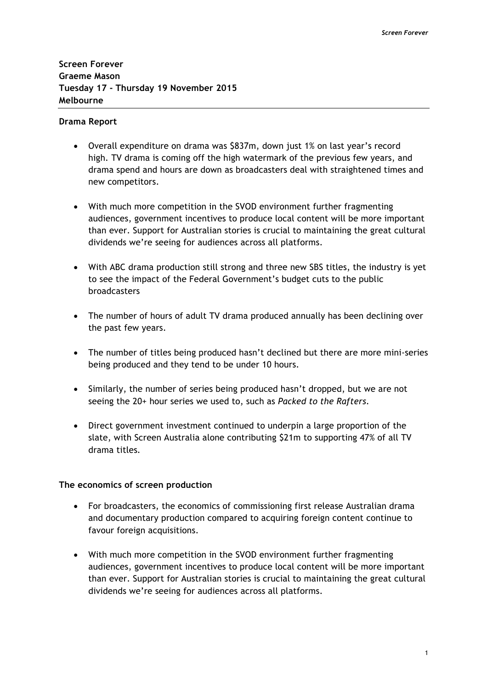**Screen Forever Graeme Mason Tuesday 17 - Thursday 19 November 2015 Melbourne**

#### **Drama Report**

- Overall expenditure on drama was \$837m, down just 1% on last year's record high. TV drama is coming off the high watermark of the previous few years, and drama spend and hours are down as broadcasters deal with straightened times and new competitors.
- With much more competition in the SVOD environment further fragmenting audiences, government incentives to produce local content will be more important than ever. Support for Australian stories is crucial to maintaining the great cultural dividends we're seeing for audiences across all platforms.
- With ABC drama production still strong and three new SBS titles, the industry is yet to see the impact of the Federal Government's budget cuts to the public broadcasters
- The number of hours of adult TV drama produced annually has been declining over the past few years.
- The number of titles being produced hasn't declined but there are more mini-series being produced and they tend to be under 10 hours.
- Similarly, the number of series being produced hasn't dropped, but we are not seeing the 20+ hour series we used to, such as *Packed to the Rafters*.
- Direct government investment continued to underpin a large proportion of the slate, with Screen Australia alone contributing \$21m to supporting 47% of all TV drama titles*.*

#### **The economics of screen production**

- For broadcasters, the economics of commissioning first release Australian drama and documentary production compared to acquiring foreign content continue to favour foreign acquisitions.
- With much more competition in the SVOD environment further fragmenting audiences, government incentives to produce local content will be more important than ever. Support for Australian stories is crucial to maintaining the great cultural dividends we're seeing for audiences across all platforms.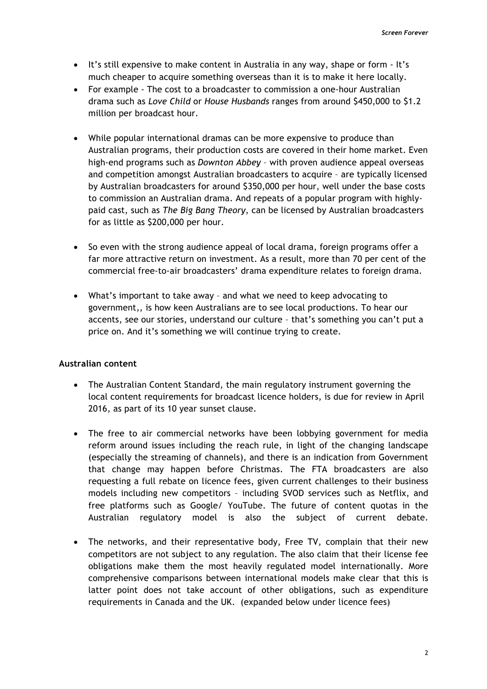- It's still expensive to make content in Australia in any way, shape or form It's much cheaper to acquire something overseas than it is to make it here locally.
- For example The cost to a broadcaster to commission a one-hour Australian drama such as *Love Child* or *House Husbands* ranges from around \$450,000 to \$1.2 million per broadcast hour.
- While popular international dramas can be more expensive to produce than Australian programs, their production costs are covered in their home market. Even high-end programs such as *Downton Abbey* – with proven audience appeal overseas and competition amongst Australian broadcasters to acquire – are typically licensed by Australian broadcasters for around \$350,000 per hour, well under the base costs to commission an Australian drama. And repeats of a popular program with highlypaid cast, such as *The Big Bang Theory*, can be licensed by Australian broadcasters for as little as \$200,000 per hour.
- So even with the strong audience appeal of local drama, foreign programs offer a far more attractive return on investment. As a result, more than 70 per cent of the commercial free-to-air broadcasters' drama expenditure relates to foreign drama.
- What's important to take away and what we need to keep advocating to government,, is how keen Australians are to see local productions. To hear our accents, see our stories, understand our culture – that's something you can't put a price on. And it's something we will continue trying to create.

# **Australian content**

- The Australian Content Standard, the main regulatory instrument governing the local content requirements for broadcast licence holders, is due for review in April 2016, as part of its 10 year sunset clause.
- The free to air commercial networks have been lobbying government for media reform around issues including the reach rule, in light of the changing landscape (especially the streaming of channels), and there is an indication from Government that change may happen before Christmas. The FTA broadcasters are also requesting a full rebate on licence fees, given current challenges to their business models including new competitors – including SVOD services such as Netflix, and free platforms such as Google/ YouTube. The future of content quotas in the Australian regulatory model is also the subject of current debate.
- The networks, and their representative body, Free TV, complain that their new competitors are not subject to any regulation. The also claim that their license fee obligations make them the most heavily regulated model internationally. More comprehensive comparisons between international models make clear that this is latter point does not take account of other obligations, such as expenditure requirements in Canada and the UK. (expanded below under licence fees)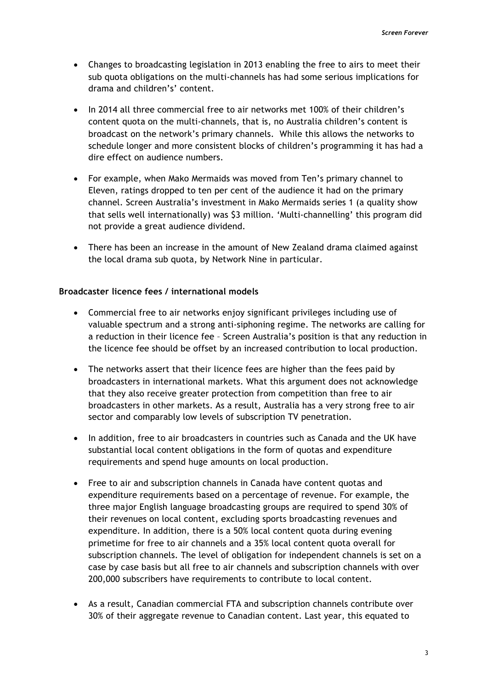- Changes to broadcasting legislation in 2013 enabling the free to airs to meet their sub quota obligations on the multi-channels has had some serious implications for drama and children's' content.
- In 2014 all three commercial free to air networks met 100% of their children's content quota on the multi-channels, that is, no Australia children's content is broadcast on the network's primary channels. While this allows the networks to schedule longer and more consistent blocks of children's programming it has had a dire effect on audience numbers.
- For example, when Mako Mermaids was moved from Ten's primary channel to Eleven, ratings dropped to ten per cent of the audience it had on the primary channel. Screen Australia's investment in Mako Mermaids series 1 (a quality show that sells well internationally) was \$3 million. 'Multi-channelling' this program did not provide a great audience dividend.
- There has been an increase in the amount of New Zealand drama claimed against the local drama sub quota, by Network Nine in particular.

# **Broadcaster licence fees / international models**

- Commercial free to air networks enjoy significant privileges including use of valuable spectrum and a strong anti-siphoning regime. The networks are calling for a reduction in their licence fee – Screen Australia's position is that any reduction in the licence fee should be offset by an increased contribution to local production.
- The networks assert that their licence fees are higher than the fees paid by broadcasters in international markets. What this argument does not acknowledge that they also receive greater protection from competition than free to air broadcasters in other markets. As a result, Australia has a very strong free to air sector and comparably low levels of subscription TV penetration.
- In addition, free to air broadcasters in countries such as Canada and the UK have substantial local content obligations in the form of quotas and expenditure requirements and spend huge amounts on local production.
- Free to air and subscription channels in Canada have content quotas and expenditure requirements based on a percentage of revenue. For example, the three major English language broadcasting groups are required to spend 30% of their revenues on local content, excluding sports broadcasting revenues and expenditure. In addition, there is a 50% local content quota during evening primetime for free to air channels and a 35% local content quota overall for subscription channels. The level of obligation for independent channels is set on a case by case basis but all free to air channels and subscription channels with over 200,000 subscribers have requirements to contribute to local content.
- As a result, Canadian commercial FTA and subscription channels contribute over 30% of their aggregate revenue to Canadian content. Last year, this equated to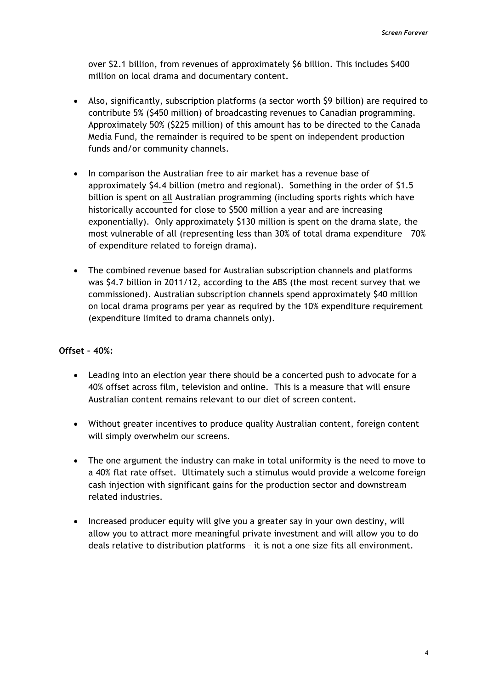over \$2.1 billion, from revenues of approximately \$6 billion. This includes \$400 million on local drama and documentary content.

- Also, significantly, subscription platforms (a sector worth \$9 billion) are required to contribute 5% (\$450 million) of broadcasting revenues to Canadian programming. Approximately 50% (\$225 million) of this amount has to be directed to the Canada Media Fund, the remainder is required to be spent on independent production funds and/or community channels.
- In comparison the Australian free to air market has a revenue base of approximately \$4.4 billion (metro and regional). Something in the order of \$1.5 billion is spent on all Australian programming (including sports rights which have historically accounted for close to \$500 million a year and are increasing exponentially). Only approximately \$130 million is spent on the drama slate, the most vulnerable of all (representing less than 30% of total drama expenditure – 70% of expenditure related to foreign drama).
- The combined revenue based for Australian subscription channels and platforms was \$4.7 billion in 2011/12, according to the ABS (the most recent survey that we commissioned). Australian subscription channels spend approximately \$40 million on local drama programs per year as required by the 10% expenditure requirement (expenditure limited to drama channels only).

#### **Offset – 40%:**

- Leading into an election year there should be a concerted push to advocate for a 40% offset across film, television and online. This is a measure that will ensure Australian content remains relevant to our diet of screen content.
- Without greater incentives to produce quality Australian content, foreign content will simply overwhelm our screens.
- The one argument the industry can make in total uniformity is the need to move to a 40% flat rate offset. Ultimately such a stimulus would provide a welcome foreign cash injection with significant gains for the production sector and downstream related industries.
- Increased producer equity will give you a greater say in your own destiny, will allow you to attract more meaningful private investment and will allow you to do deals relative to distribution platforms – it is not a one size fits all environment.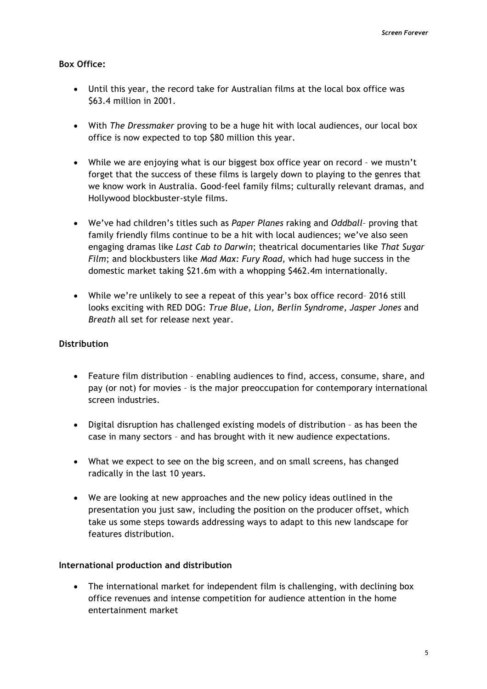### **Box Office:**

- Until this year, the record take for Australian films at the local box office was \$63.4 million in 2001.
- With *The Dressmaker* proving to be a huge hit with local audiences, our local box office is now expected to top \$80 million this year.
- While we are enjoying what is our biggest box office year on record we mustn't forget that the success of these films is largely down to playing to the genres that we know work in Australia. Good-feel family films; culturally relevant dramas, and Hollywood blockbuster-style films.
- We've had children's titles such as *Paper Planes* raking and *Oddball* proving that family friendly films continue to be a hit with local audiences; we've also seen engaging dramas like *Last Cab to Darwin*; theatrical documentaries like *That Sugar Film*; and blockbusters like *Mad Max: Fury Road,* which had huge success in the domestic market taking \$21.6m with a whopping \$462.4m internationally.
- While we're unlikely to see a repeat of this year's box office record– 2016 still looks exciting with RED DOG: *True Blue, Lion, Berlin Syndrome, Jasper Jones* and *Breath* all set for release next year.

### **Distribution**

- Feature film distribution enabling audiences to find, access, consume, share, and pay (or not) for movies – is the major preoccupation for contemporary international screen industries.
- Digital disruption has challenged existing models of distribution as has been the case in many sectors – and has brought with it new audience expectations.
- What we expect to see on the big screen, and on small screens, has changed radically in the last 10 years.
- We are looking at new approaches and the new policy ideas outlined in the presentation you just saw, including the position on the producer offset, which take us some steps towards addressing ways to adapt to this new landscape for features distribution.

#### **International production and distribution**

• The international market for independent film is challenging, with declining box office revenues and intense competition for audience attention in the home entertainment market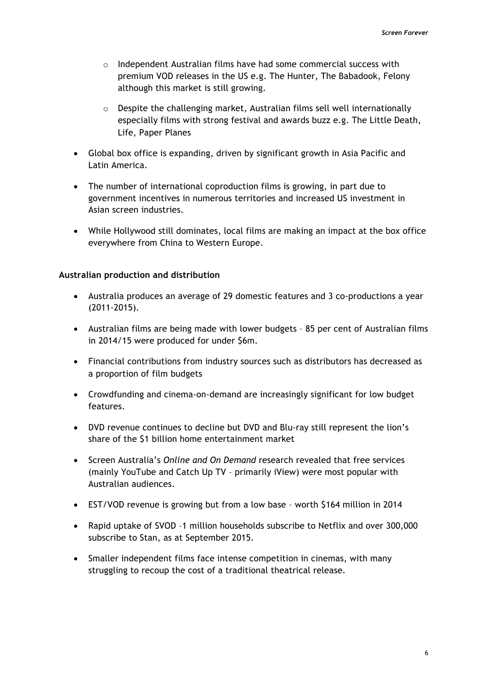- $\circ$  Independent Australian films have had some commercial success with premium VOD releases in the US e.g. The Hunter, The Babadook, Felony although this market is still growing.
- o Despite the challenging market, Australian films sell well internationally especially films with strong festival and awards buzz e.g. The Little Death, Life, Paper Planes
- Global box office is expanding, driven by significant growth in Asia Pacific and Latin America.
- The number of international coproduction films is growing, in part due to government incentives in numerous territories and increased US investment in Asian screen industries.
- While Hollywood still dominates, local films are making an impact at the box office everywhere from China to Western Europe.

# **Australian production and distribution**

- Australia produces an average of 29 domestic features and 3 co-productions a year (2011-2015).
- Australian films are being made with lower budgets 85 per cent of Australian films in 2014/15 were produced for under \$6m.
- Financial contributions from industry sources such as distributors has decreased as a proportion of film budgets
- Crowdfunding and cinema-on-demand are increasingly significant for low budget features.
- DVD revenue continues to decline but DVD and Blu-ray still represent the lion's share of the \$1 billion home entertainment market
- Screen Australia's *Online and On Demand* research revealed that free services (mainly YouTube and Catch Up TV – primarily iView) were most popular with Australian audiences.
- EST/VOD revenue is growing but from a low base worth \$164 million in 2014
- Rapid uptake of SVOD –1 million households subscribe to Netflix and over 300,000 subscribe to Stan, as at September 2015.
- Smaller independent films face intense competition in cinemas, with many struggling to recoup the cost of a traditional theatrical release.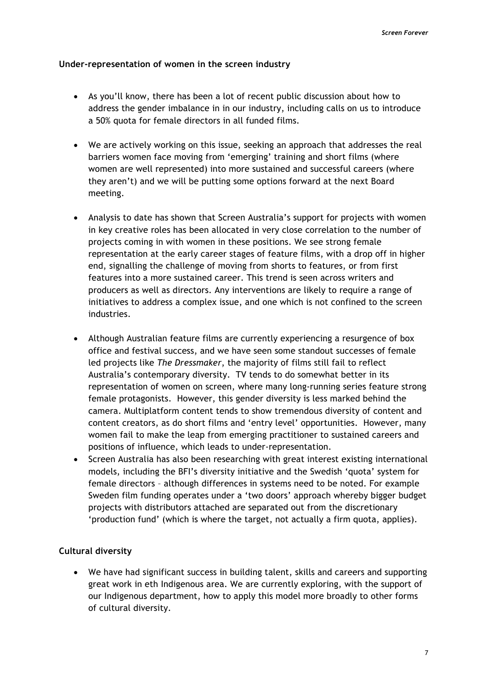### **Under-representation of women in the screen industry**

- As you'll know, there has been a lot of recent public discussion about how to address the gender imbalance in in our industry, including calls on us to introduce a 50% quota for female directors in all funded films.
- We are actively working on this issue, seeking an approach that addresses the real barriers women face moving from 'emerging' training and short films (where women are well represented) into more sustained and successful careers (where they aren't) and we will be putting some options forward at the next Board meeting.
- Analysis to date has shown that Screen Australia's support for projects with women in key creative roles has been allocated in very close correlation to the number of projects coming in with women in these positions. We see strong female representation at the early career stages of feature films, with a drop off in higher end, signalling the challenge of moving from shorts to features, or from first features into a more sustained career. This trend is seen across writers and producers as well as directors. Any interventions are likely to require a range of initiatives to address a complex issue, and one which is not confined to the screen industries.
- Although Australian feature films are currently experiencing a resurgence of box office and festival success, and we have seen some standout successes of female led projects like *The Dressmaker*, the majority of films still fail to reflect Australia's contemporary diversity. TV tends to do somewhat better in its representation of women on screen, where many long-running series feature strong female protagonists. However, this gender diversity is less marked behind the camera. Multiplatform content tends to show tremendous diversity of content and content creators, as do short films and 'entry level' opportunities. However, many women fail to make the leap from emerging practitioner to sustained careers and positions of influence, which leads to under-representation.
- Screen Australia has also been researching with great interest existing international models, including the BFI's diversity initiative and the Swedish 'quota' system for female directors – although differences in systems need to be noted. For example Sweden film funding operates under a 'two doors' approach whereby bigger budget projects with distributors attached are separated out from the discretionary 'production fund' (which is where the target, not actually a firm quota, applies).

# **Cultural diversity**

• We have had significant success in building talent, skills and careers and supporting great work in eth Indigenous area. We are currently exploring, with the support of our Indigenous department, how to apply this model more broadly to other forms of cultural diversity.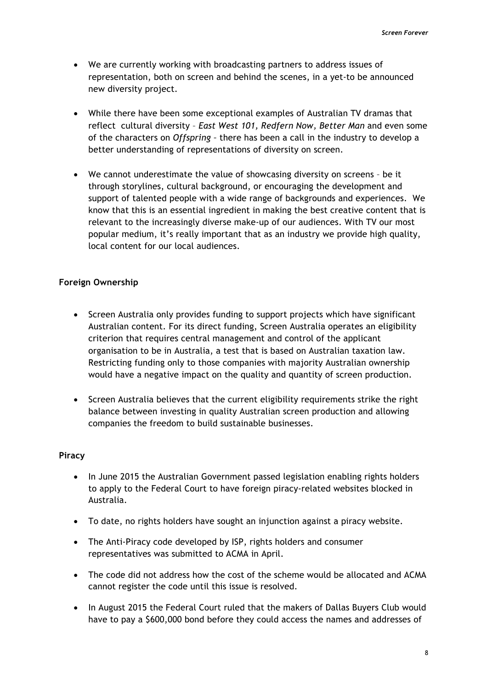- We are currently working with broadcasting partners to address issues of representation, both on screen and behind the scenes, in a yet-to be announced new diversity project.
- While there have been some exceptional examples of Australian TV dramas that reflect cultural diversity – *East West 101, Redfern Now, Better Man* and even some of the characters on *Offspring –* there has been a call in the industry to develop a better understanding of representations of diversity on screen.
- We cannot underestimate the value of showcasing diversity on screens be it through storylines, cultural background, or encouraging the development and support of talented people with a wide range of backgrounds and experiences. We know that this is an essential ingredient in making the best creative content that is relevant to the increasingly diverse make-up of our audiences. With TV our most popular medium, it's really important that as an industry we provide high quality, local content for our local audiences.

# **Foreign Ownership**

- Screen Australia only provides funding to support projects which have significant Australian content. For its direct funding, Screen Australia operates an eligibility criterion that requires central management and control of the applicant organisation to be in Australia, a test that is based on Australian taxation law. Restricting funding only to those companies with majority Australian ownership would have a negative impact on the quality and quantity of screen production.
- Screen Australia believes that the current eligibility requirements strike the right balance between investing in quality Australian screen production and allowing companies the freedom to build sustainable businesses.

# **Piracy**

- In June 2015 the Australian Government passed legislation enabling rights holders to apply to the Federal Court to have foreign piracy-related websites blocked in Australia.
- To date, no rights holders have sought an injunction against a piracy website.
- The Anti-Piracy code developed by ISP, rights holders and consumer representatives was submitted to ACMA in April.
- The code did not address how the cost of the scheme would be allocated and ACMA cannot register the code until this issue is resolved.
- In August 2015 the Federal Court ruled that the makers of Dallas Buyers Club would have to pay a \$600,000 bond before they could access the names and addresses of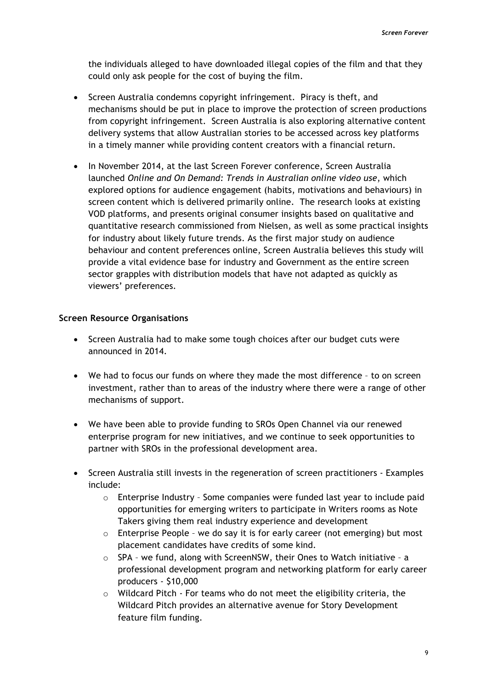the individuals alleged to have downloaded illegal copies of the film and that they could only ask people for the cost of buying the film.

- Screen Australia condemns copyright infringement. Piracy is theft, and mechanisms should be put in place to improve the protection of screen productions from copyright infringement. Screen Australia is also exploring alternative content delivery systems that allow Australian stories to be accessed across key platforms in a timely manner while providing content creators with a financial return.
- In November 2014, at the last Screen Forever conference, Screen Australia launched *Online and On Demand: Trends in Australian online video use*, which explored options for audience engagement (habits, motivations and behaviours) in screen content which is delivered primarily online. The research looks at existing VOD platforms, and presents original consumer insights based on qualitative and quantitative research commissioned from Nielsen, as well as some practical insights for industry about likely future trends. As the first major study on audience behaviour and content preferences online, Screen Australia believes this study will provide a vital evidence base for industry and Government as the entire screen sector grapples with distribution models that have not adapted as quickly as viewers' preferences.

# **Screen Resource Organisations**

- Screen Australia had to make some tough choices after our budget cuts were announced in 2014.
- We had to focus our funds on where they made the most difference to on screen investment, rather than to areas of the industry where there were a range of other mechanisms of support.
- We have been able to provide funding to SROs Open Channel via our renewed enterprise program for new initiatives, and we continue to seek opportunities to partner with SROs in the professional development area.
- Screen Australia still invests in the regeneration of screen practitioners Examples include:
	- $\circ$  Enterprise Industry Some companies were funded last year to include paid opportunities for emerging writers to participate in Writers rooms as Note Takers giving them real industry experience and development
	- o Enterprise People we do say it is for early career (not emerging) but most placement candidates have credits of some kind.
	- $\circ$  SPA we fund, along with ScreenNSW, their Ones to Watch initiative a professional development program and networking platform for early career producers - \$10,000
	- o Wildcard Pitch For teams who do not meet the eligibility criteria, the Wildcard Pitch provides an alternative avenue for Story Development feature film funding.